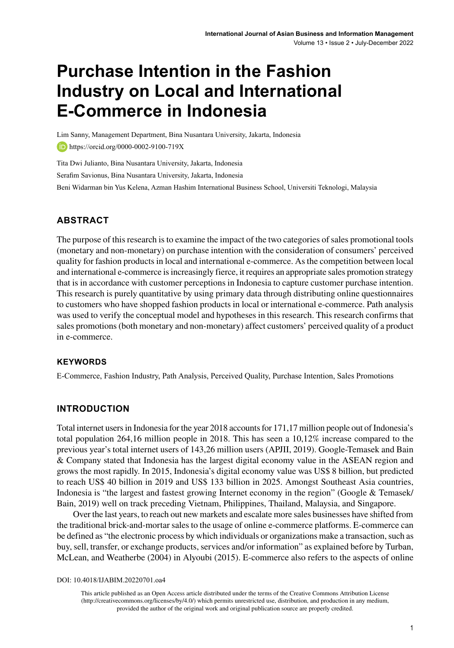# **Purchase Intention in the Fashion Industry on Local and International E-Commerce in Indonesia**

Lim Sanny, Management Department, Bina Nusantara University, Jakarta, Indonesia **https://orcid.org/0000-0002-9100-719X** 

Tita Dwi Julianto, Bina Nusantara University, Jakarta, Indonesia Serafim Savionus, Bina Nusantara University, Jakarta, Indonesia Beni Widarman bin Yus Kelena, Azman Hashim International Business School, Universiti Teknologi, Malaysia

## **ABSTRACT**

The purpose of this research is to examine the impact of the two categories of sales promotional tools (monetary and non-monetary) on purchase intention with the consideration of consumers' perceived quality for fashion products in local and international e-commerce. As the competition between local and international e-commerce is increasingly fierce, it requires an appropriate sales promotion strategy that is in accordance with customer perceptions in Indonesia to capture customer purchase intention. This research is purely quantitative by using primary data through distributing online questionnaires to customers who have shopped fashion products in local or international e-commerce. Path analysis was used to verify the conceptual model and hypotheses in this research. This research confirms that sales promotions (both monetary and non-monetary) affect customers' perceived quality of a product in e-commerce.

## **Keywords**

E-Commerce, Fashion Industry, Path Analysis, Perceived Quality, Purchase Intention, Sales Promotions

## **INTRODUCTION**

Total internet users in Indonesia for the year 2018 accounts for 171,17 million people out of Indonesia's total population 264,16 million people in 2018. This has seen a 10,12% increase compared to the previous year's total internet users of 143,26 million users (APJII, 2019). Google-Temasek and Bain & Company stated that Indonesia has the largest digital economy value in the ASEAN region and grows the most rapidly. In 2015, Indonesia's digital economy value was US\$ 8 billion, but predicted to reach US\$ 40 billion in 2019 and US\$ 133 billion in 2025. Amongst Southeast Asia countries, Indonesia is "the largest and fastest growing Internet economy in the region" (Google & Temasek/ Bain, 2019) well on track preceding Vietnam, Philippines, Thailand, Malaysia, and Singapore.

Over the last years, to reach out new markets and escalate more sales businesses have shifted from the traditional brick-and-mortar sales to the usage of online e-commerce platforms. E-commerce can be defined as "the electronic process by which individuals or organizations make a transaction, such as buy, sell, transfer, or exchange products, services and/or information" as explained before by Turban, McLean, and Weatherbe (2004) in Alyoubi (2015). E-commerce also refers to the aspects of online

DOI: 10.4018/IJABIM.20220701.oa4

This article published as an Open Access article distributed under the terms of the Creative Commons Attribution License (http://creativecommons.org/licenses/by/4.0/) which permits unrestricted use, distribution, and production in any medium, provided the author of the original work and original publication source are properly credited.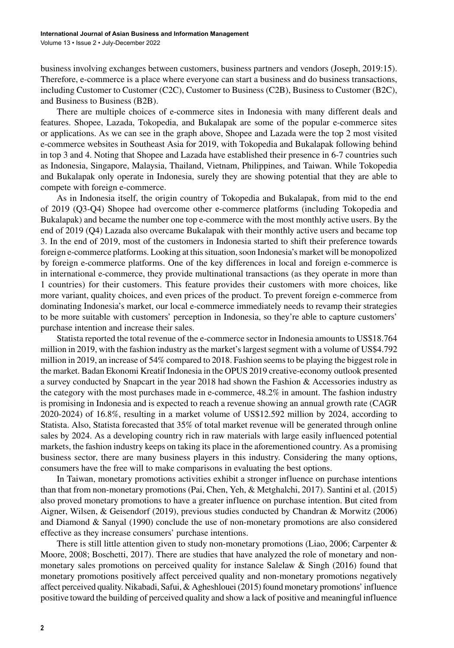business involving exchanges between customers, business partners and vendors (Joseph, 2019:15). Therefore, e-commerce is a place where everyone can start a business and do business transactions, including Customer to Customer (C2C), Customer to Business (C2B), Business to Customer (B2C), and Business to Business (B2B).

There are multiple choices of e-commerce sites in Indonesia with many different deals and features. Shopee, Lazada, Tokopedia, and Bukalapak are some of the popular e-commerce sites or applications. As we can see in the graph above, Shopee and Lazada were the top 2 most visited e-commerce websites in Southeast Asia for 2019, with Tokopedia and Bukalapak following behind in top 3 and 4. Noting that Shopee and Lazada have established their presence in 6-7 countries such as Indonesia, Singapore, Malaysia, Thailand, Vietnam, Philippines, and Taiwan. While Tokopedia and Bukalapak only operate in Indonesia, surely they are showing potential that they are able to compete with foreign e-commerce.

As in Indonesia itself, the origin country of Tokopedia and Bukalapak, from mid to the end of 2019 (Q3-Q4) Shopee had overcome other e-commerce platforms (including Tokopedia and Bukalapak) and became the number one top e-commerce with the most monthly active users. By the end of 2019 (Q4) Lazada also overcame Bukalapak with their monthly active users and became top 3. In the end of 2019, most of the customers in Indonesia started to shift their preference towards foreign e-commerce platforms. Looking at this situation, soon Indonesia's market will be monopolized by foreign e-commerce platforms. One of the key differences in local and foreign e-commerce is in international e-commerce, they provide multinational transactions (as they operate in more than 1 countries) for their customers. This feature provides their customers with more choices, like more variant, quality choices, and even prices of the product. To prevent foreign e-commerce from dominating Indonesia's market, our local e-commerce immediately needs to revamp their strategies to be more suitable with customers' perception in Indonesia, so they're able to capture customers' purchase intention and increase their sales.

Statista reported the total revenue of the e-commerce sector in Indonesia amounts to US\$18.764 million in 2019, with the fashion industry as the market's largest segment with a volume of US\$4.792 million in 2019, an increase of 54% compared to 2018. Fashion seems to be playing the biggest role in the market. Badan Ekonomi Kreatif Indonesia in the OPUS 2019 creative-economy outlook presented a survey conducted by Snapcart in the year 2018 had shown the Fashion & Accessories industry as the category with the most purchases made in e-commerce, 48.2% in amount. The fashion industry is promising in Indonesia and is expected to reach a revenue showing an annual growth rate (CAGR 2020-2024) of 16.8%, resulting in a market volume of US\$12.592 million by 2024, according to Statista. Also, Statista forecasted that 35% of total market revenue will be generated through online sales by 2024. As a developing country rich in raw materials with large easily influenced potential markets, the fashion industry keeps on taking its place in the aforementioned country. As a promising business sector, there are many business players in this industry. Considering the many options, consumers have the free will to make comparisons in evaluating the best options.

In Taiwan, monetary promotions activities exhibit a stronger influence on purchase intentions than that from non-monetary promotions (Pai, Chen, Yeh, & Metghalchi, 2017). Santini et al. (2015) also proved monetary promotions to have a greater influence on purchase intention. But cited from Aigner, Wilsen, & Geisendorf (2019), previous studies conducted by Chandran & Morwitz (2006) and Diamond & Sanyal (1990) conclude the use of non-monetary promotions are also considered effective as they increase consumers' purchase intentions.

There is still little attention given to study non-monetary promotions (Liao, 2006; Carpenter & Moore, 2008; Boschetti, 2017). There are studies that have analyzed the role of monetary and nonmonetary sales promotions on perceived quality for instance Salelaw & Singh (2016) found that monetary promotions positively affect perceived quality and non-monetary promotions negatively affect perceived quality. Nikabadi, Safui, & Agheshlouei (2015) found monetary promotions' influence positive toward the building of perceived quality and show a lack of positive and meaningful influence